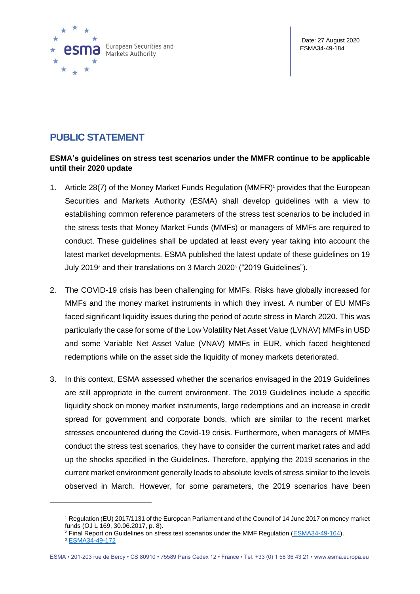

## **PUBLIC STATEMENT**

## **ESMA's guidelines on stress test scenarios under the MMFR continue to be applicable until their 2020 update**

- 1. Article 28(7) of the Money Market Funds Regulation (MMFR)<sup>1</sup> provides that the European Securities and Markets Authority (ESMA) shall develop guidelines with a view to establishing common reference parameters of the stress test scenarios to be included in the stress tests that Money Market Funds (MMFs) or managers of MMFs are required to conduct. These guidelines shall be updated at least every year taking into account the latest market developments. ESMA published the latest update of these guidelines on 19 July 2019<sup>2</sup> and their translations on 3 March 2020<sup>3</sup> ("2019 Guidelines").
- 2. The COVID-19 crisis has been challenging for MMFs. Risks have globally increased for MMFs and the money market instruments in which they invest. A number of EU MMFs faced significant liquidity issues during the period of acute stress in March 2020. This was particularly the case for some of the Low Volatility Net Asset Value (LVNAV) MMFs in USD and some Variable Net Asset Value (VNAV) MMFs in EUR, which faced heightened redemptions while on the asset side the liquidity of money markets deteriorated.
- 3. In this context, ESMA assessed whether the scenarios envisaged in the 2019 Guidelines are still appropriate in the current environment. The 2019 Guidelines include a specific liquidity shock on money market instruments, large redemptions and an increase in credit spread for government and corporate bonds, which are similar to the recent market stresses encountered during the Covid-19 crisis. Furthermore, when managers of MMFs conduct the stress test scenarios, they have to consider the current market rates and add up the shocks specified in the Guidelines. Therefore, applying the 2019 scenarios in the current market environment generally leads to absolute levels of stress similar to the levels observed in March. However, for some parameters, the 2019 scenarios have been

<sup>1</sup> Regulation (EU) 2017/1131 of the European Parliament and of the Council of 14 June 2017 on money market funds (OJ L 169, 30.06.2017, p. 8).

<sup>2</sup> Final Report on Guidelines on stress test scenarios under the MMF Regulation [\(ESMA34-49-164\)](https://www.esma.europa.eu/sites/default/files/library/esma34-49-164_guidelines_mmf_stress_tests_draft_final_report.pdf).

<sup>3</sup> [ESMA34-49-172](https://www.esma.europa.eu/document/guidelines-stress-test-scenarios-under-mmf-regulation)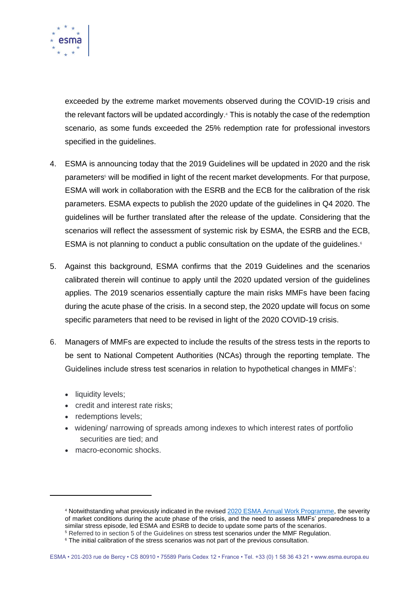

exceeded by the extreme market movements observed during the COVID-19 crisis and the relevant factors will be updated accordingly. <sup>4</sup> This is notably the case of the redemption scenario, as some funds exceeded the 25% redemption rate for professional investors specified in the guidelines.

- 4. ESMA is announcing today that the 2019 Guidelines will be updated in 2020 and the risk parameters<sup>5</sup> will be modified in light of the recent market developments. For that purpose, ESMA will work in collaboration with the ESRB and the ECB for the calibration of the risk parameters. ESMA expects to publish the 2020 update of the guidelines in Q4 2020. The guidelines will be further translated after the release of the update. Considering that the scenarios will reflect the assessment of systemic risk by ESMA, the ESRB and the ECB, ESMA is not planning to conduct a public consultation on the update of the quidelines.<sup>6</sup>
- 5. Against this background, ESMA confirms that the 2019 Guidelines and the scenarios calibrated therein will continue to apply until the 2020 updated version of the guidelines applies. The 2019 scenarios essentially capture the main risks MMFs have been facing during the acute phase of the crisis. In a second step, the 2020 update will focus on some specific parameters that need to be revised in light of the 2020 COVID-19 crisis.
- 6. Managers of MMFs are expected to include the results of the stress tests in the reports to be sent to National Competent Authorities (NCAs) through the reporting template. The Guidelines include stress test scenarios in relation to hypothetical changes in MMFs':
	- liquidity levels;
	- credit and interest rate risks;
	- redemptions levels;
	- widening/ narrowing of spreads among indexes to which interest rates of portfolio securities are tied; and
	- macro-economic shocks.

<sup>4</sup> Notwithstanding what previously indicated in the revise[d 2020 ESMA Annual Work Programme,](https://www.esma.europa.eu/sites/default/files/library/esma20-95-1132_2020_annual_work_programme_revised.pdf) the severity of market conditions during the acute phase of the crisis, and the need to assess MMFs' preparedness to a similar stress episode, led ESMA and ESRB to decide to update some parts of the scenarios. <sup>5</sup> Referred to in section 5 of the Guidelines on stress test scenarios under the MMF Regulation.

<sup>&</sup>lt;sup>6</sup> The initial calibration of the stress scenarios was not part of the previous consultation.